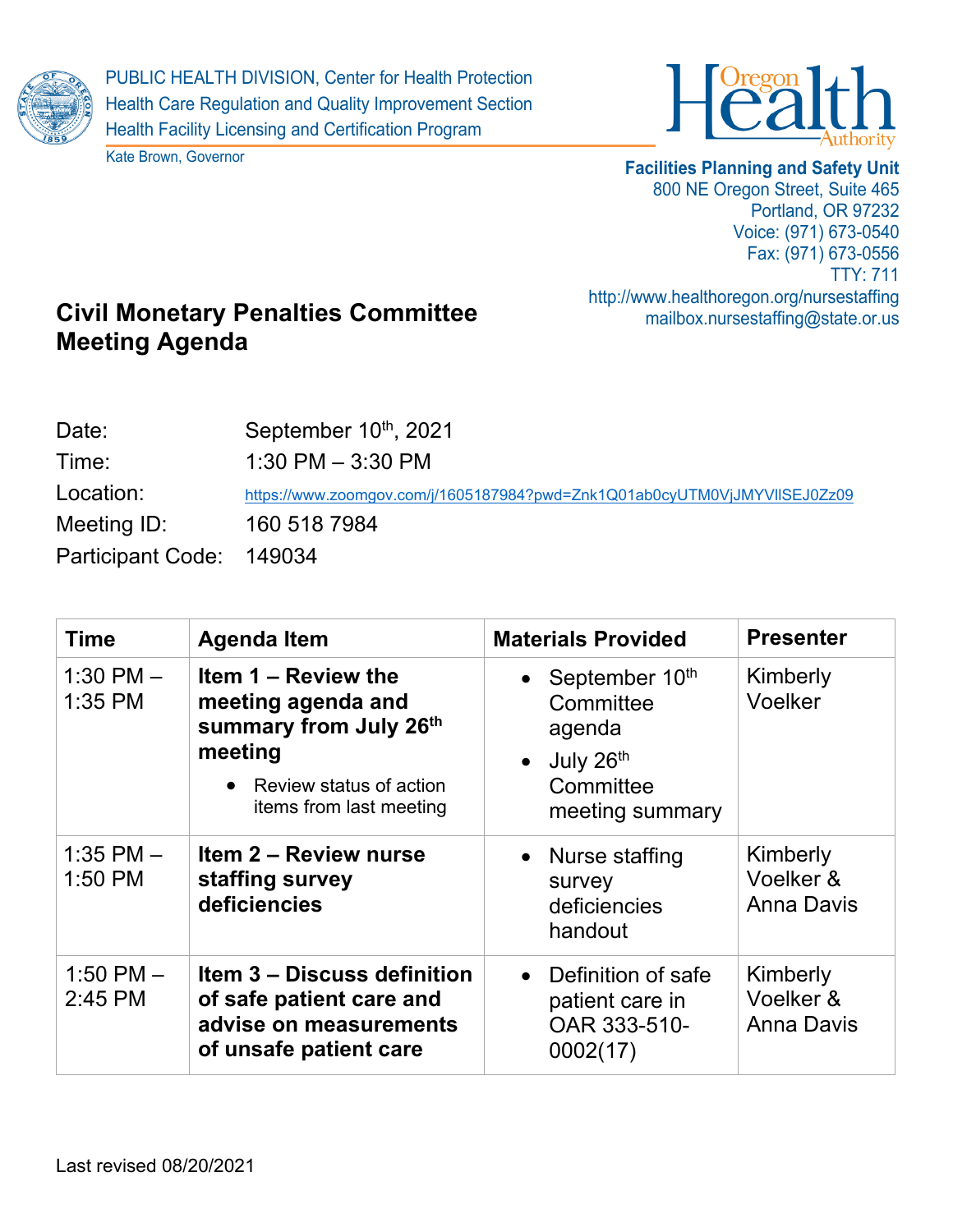





## **Facilities Planning and Safety Unit**

800 NE Oregon Street, Suite 465 Portland, OR 97232 Voice: (971) 673-0540 Fax: (971) 673-0556 TTY: 711 http://www.healthoregon.org/nursestaffing mailbox.nursestaffing@state.or.us

## **Civil Monetary Penalties Committee Meeting Agenda**

| Date:                    | September 10th, 2021                                                      |
|--------------------------|---------------------------------------------------------------------------|
| Time:                    | $1:30$ PM $-3:30$ PM                                                      |
| Location:                | https://www.zoomgov.com/j/1605187984?pwd=Znk1Q01ab0cyUTM0VjJMYVIISEJ0Zz09 |
| Meeting ID:              | 160 518 7984                                                              |
| Participant Code: 149034 |                                                                           |

| <b>Time</b>              | <b>Agenda Item</b>                                                                                                                     | <b>Materials Provided</b>                                                                           | <b>Presenter</b>                           |
|--------------------------|----------------------------------------------------------------------------------------------------------------------------------------|-----------------------------------------------------------------------------------------------------|--------------------------------------------|
| 1:30 PM $-$<br>1:35 PM   | Item 1 – Review the<br>meeting agenda and<br>summary from July 26th<br>meeting<br>• Review status of action<br>items from last meeting | • September $10th$<br>Committee<br>agenda<br>July 26th<br>$\bullet$<br>Committee<br>meeting summary | Kimberly<br>Voelker                        |
| $1:35$ PM $-$<br>1:50 PM | Item 2 - Review nurse<br>staffing survey<br>deficiencies                                                                               | • Nurse staffing<br>survey<br>deficiencies<br>handout                                               | Kimberly<br>Voelker &<br><b>Anna Davis</b> |
| 1:50 PM $-$<br>2:45 PM   | <b>Item 3 – Discuss definition</b><br>of safe patient care and<br>advise on measurements<br>of unsafe patient care                     | Definition of safe<br>$\bullet$<br>patient care in<br>OAR 333-510-<br>0002(17)                      | Kimberly<br>Voelker &<br><b>Anna Davis</b> |